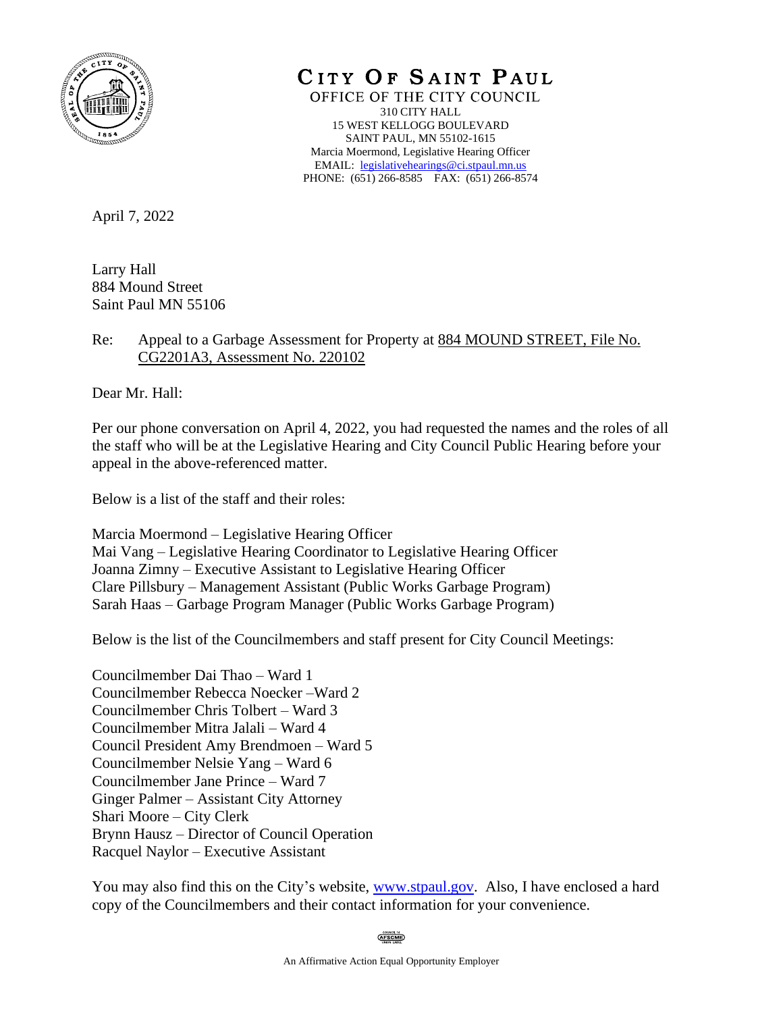

CITY OF SAINT PAUL

OFFICE OF THE CITY COUNCIL 310 CITY HALL 15 WEST KELLOGG BOULEVARD SAINT PAUL, MN 55102-1615 Marcia Moermond, Legislative Hearing Officer EMAIL: [legislativehearings@ci.stpaul.mn.us](mailto:legislativehearings@ci.stpaul.mn.us) PHONE: (651) 266-8585 FAX: (651) 266-8574

April 7, 2022

Larry Hall 884 Mound Street Saint Paul MN 55106

## Re: Appeal to a Garbage Assessment for Property at 884 MOUND STREET, File No. CG2201A3, Assessment No. 220102

Dear Mr. Hall:

Per our phone conversation on April 4, 2022, you had requested the names and the roles of all the staff who will be at the Legislative Hearing and City Council Public Hearing before your appeal in the above-referenced matter.

Below is a list of the staff and their roles:

Marcia Moermond – Legislative Hearing Officer Mai Vang – Legislative Hearing Coordinator to Legislative Hearing Officer Joanna Zimny – Executive Assistant to Legislative Hearing Officer Clare Pillsbury – Management Assistant (Public Works Garbage Program) Sarah Haas – Garbage Program Manager (Public Works Garbage Program)

Below is the list of the Councilmembers and staff present for City Council Meetings:

Councilmember Dai Thao – Ward 1 Councilmember Rebecca Noecker –Ward 2 Councilmember Chris Tolbert – Ward 3 Councilmember Mitra Jalali – Ward 4 Council President Amy Brendmoen – Ward 5 Councilmember Nelsie Yang – Ward 6 Councilmember Jane Prince – Ward 7 Ginger Palmer – Assistant City Attorney Shari Moore – City Clerk Brynn Hausz – Director of Council Operation Racquel Naylor – Executive Assistant

You may also find this on the City's website, [www.stpaul.gov.](http://www.stpaul.gov/) Also, I have enclosed a hard copy of the Councilmembers and their contact information for your convenience.

**AFSCME**